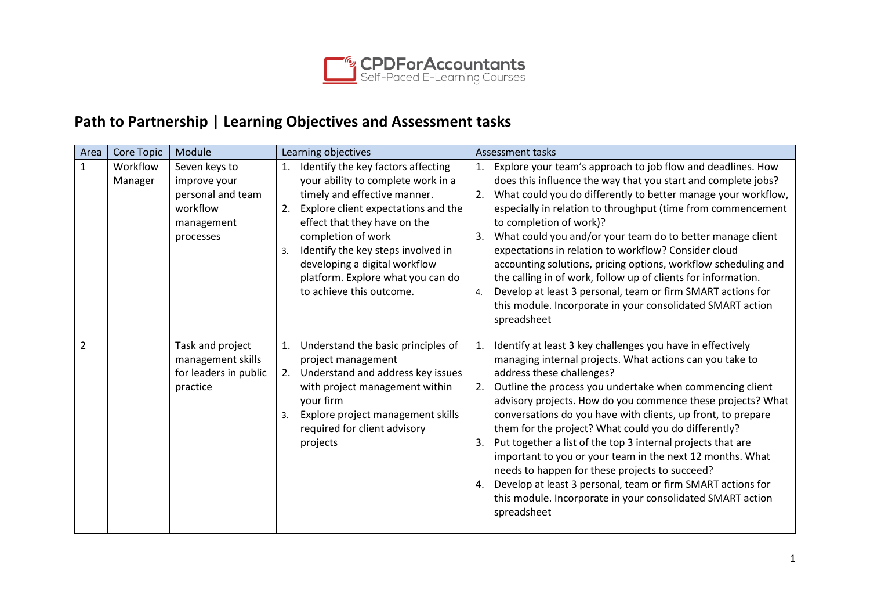

## **Path to Partnership | Learning Objectives and Assessment tasks**

| Area           | Core Topic          | Module                                                                                    | Learning objectives                                                                                                                                                                                                                                                                                                                                             | Assessment tasks                                                                                                                                                                                                                                                                                                                                                                                                                                                                                                                                                                                                                                                                                                                                         |
|----------------|---------------------|-------------------------------------------------------------------------------------------|-----------------------------------------------------------------------------------------------------------------------------------------------------------------------------------------------------------------------------------------------------------------------------------------------------------------------------------------------------------------|----------------------------------------------------------------------------------------------------------------------------------------------------------------------------------------------------------------------------------------------------------------------------------------------------------------------------------------------------------------------------------------------------------------------------------------------------------------------------------------------------------------------------------------------------------------------------------------------------------------------------------------------------------------------------------------------------------------------------------------------------------|
| $\mathbf{1}$   | Workflow<br>Manager | Seven keys to<br>improve your<br>personal and team<br>workflow<br>management<br>processes | Identify the key factors affecting<br>1.<br>your ability to complete work in a<br>timely and effective manner.<br>Explore client expectations and the<br>2.<br>effect that they have on the<br>completion of work<br>Identify the key steps involved in<br>3.<br>developing a digital workflow<br>platform. Explore what you can do<br>to achieve this outcome. | Explore your team's approach to job flow and deadlines. How<br>1.<br>does this influence the way that you start and complete jobs?<br>What could you do differently to better manage your workflow,<br>2.<br>especially in relation to throughput (time from commencement<br>to completion of work)?<br>What could you and/or your team do to better manage client<br>3.<br>expectations in relation to workflow? Consider cloud<br>accounting solutions, pricing options, workflow scheduling and<br>the calling in of work, follow up of clients for information.<br>Develop at least 3 personal, team or firm SMART actions for<br>4.<br>this module. Incorporate in your consolidated SMART action<br>spreadsheet                                    |
| $\overline{2}$ |                     | Task and project<br>management skills<br>for leaders in public<br>practice                | Understand the basic principles of<br>1.<br>project management<br>Understand and address key issues<br>2.<br>with project management within<br>your firm<br>Explore project management skills<br>3.<br>required for client advisory<br>projects                                                                                                                 | Identify at least 3 key challenges you have in effectively<br>1.<br>managing internal projects. What actions can you take to<br>address these challenges?<br>Outline the process you undertake when commencing client<br>2.<br>advisory projects. How do you commence these projects? What<br>conversations do you have with clients, up front, to prepare<br>them for the project? What could you do differently?<br>Put together a list of the top 3 internal projects that are<br>3.<br>important to you or your team in the next 12 months. What<br>needs to happen for these projects to succeed?<br>Develop at least 3 personal, team or firm SMART actions for<br>4.<br>this module. Incorporate in your consolidated SMART action<br>spreadsheet |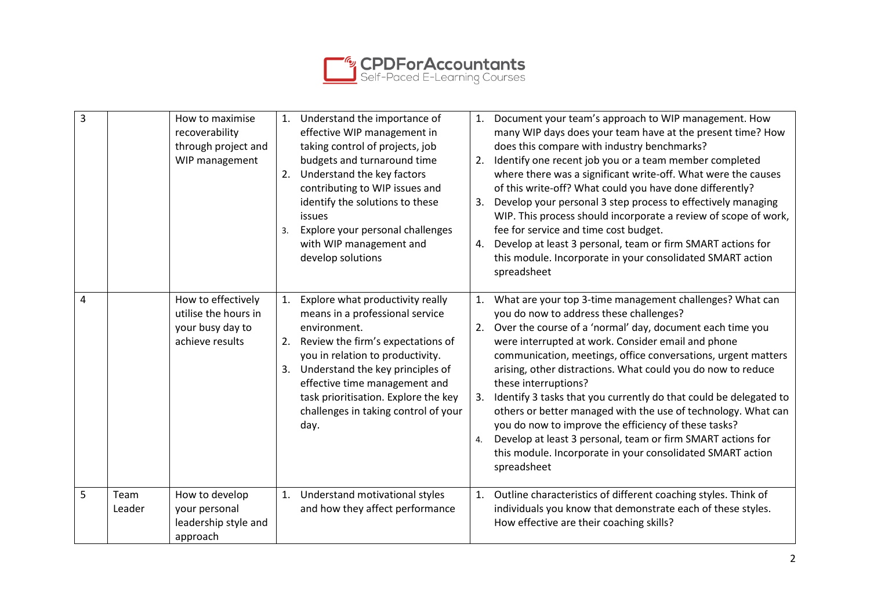

| 3 |                | How to maximise<br>recoverability<br>through project and<br>WIP management        | 2.<br>3.       | 1. Understand the importance of<br>effective WIP management in<br>taking control of projects, job<br>budgets and turnaround time<br>Understand the key factors<br>contributing to WIP issues and<br>identify the solutions to these<br>issues<br>Explore your personal challenges<br>with WIP management and<br>develop solutions | 1.<br>2.<br>3.<br>4. | Document your team's approach to WIP management. How<br>many WIP days does your team have at the present time? How<br>does this compare with industry benchmarks?<br>Identify one recent job you or a team member completed<br>where there was a significant write-off. What were the causes<br>of this write-off? What could you have done differently?<br>Develop your personal 3 step process to effectively managing<br>WIP. This process should incorporate a review of scope of work,<br>fee for service and time cost budget.<br>Develop at least 3 personal, team or firm SMART actions for<br>this module. Incorporate in your consolidated SMART action<br>spreadsheet                                          |
|---|----------------|-----------------------------------------------------------------------------------|----------------|-----------------------------------------------------------------------------------------------------------------------------------------------------------------------------------------------------------------------------------------------------------------------------------------------------------------------------------|----------------------|---------------------------------------------------------------------------------------------------------------------------------------------------------------------------------------------------------------------------------------------------------------------------------------------------------------------------------------------------------------------------------------------------------------------------------------------------------------------------------------------------------------------------------------------------------------------------------------------------------------------------------------------------------------------------------------------------------------------------|
| 4 |                | How to effectively<br>utilise the hours in<br>your busy day to<br>achieve results | 1.<br>2.<br>3. | Explore what productivity really<br>means in a professional service<br>environment.<br>Review the firm's expectations of<br>you in relation to productivity.<br>Understand the key principles of<br>effective time management and<br>task prioritisation. Explore the key<br>challenges in taking control of your<br>day.         | 1.<br>2.<br>3.<br>4. | What are your top 3-time management challenges? What can<br>you do now to address these challenges?<br>Over the course of a 'normal' day, document each time you<br>were interrupted at work. Consider email and phone<br>communication, meetings, office conversations, urgent matters<br>arising, other distractions. What could you do now to reduce<br>these interruptions?<br>Identify 3 tasks that you currently do that could be delegated to<br>others or better managed with the use of technology. What can<br>you do now to improve the efficiency of these tasks?<br>Develop at least 3 personal, team or firm SMART actions for<br>this module. Incorporate in your consolidated SMART action<br>spreadsheet |
| 5 | Team<br>Leader | How to develop<br>your personal<br>leadership style and<br>approach               | 1.             | Understand motivational styles<br>and how they affect performance                                                                                                                                                                                                                                                                 | 1.                   | Outline characteristics of different coaching styles. Think of<br>individuals you know that demonstrate each of these styles.<br>How effective are their coaching skills?                                                                                                                                                                                                                                                                                                                                                                                                                                                                                                                                                 |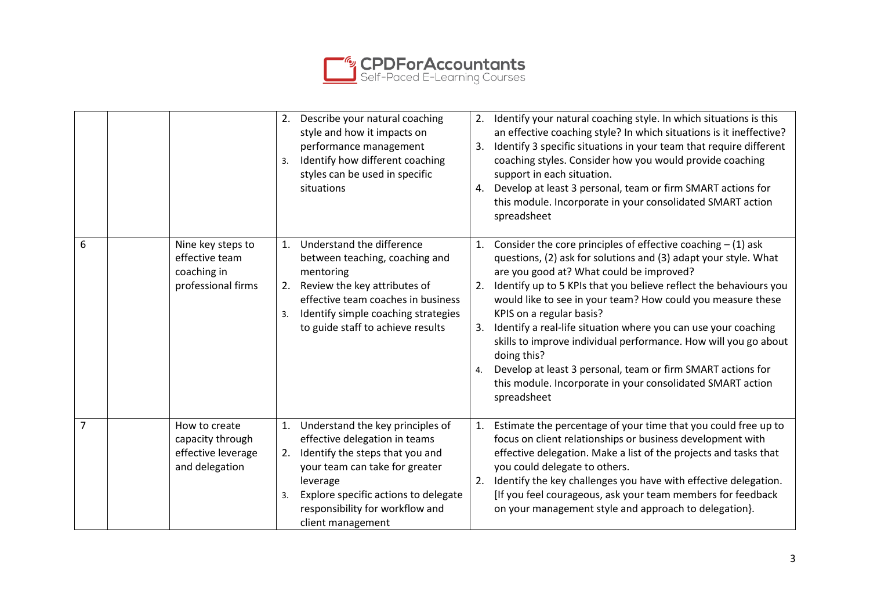

|                |                                                                           | Describe your natural coaching<br>2.<br>style and how it impacts on<br>performance management<br>Identify how different coaching<br>3.<br>styles can be used in specific<br>situations                                                                               | Identify your natural coaching style. In which situations is this<br>2.<br>an effective coaching style? In which situations is it ineffective?<br>Identify 3 specific situations in your team that require different<br>3.<br>coaching styles. Consider how you would provide coaching<br>support in each situation.<br>Develop at least 3 personal, team or firm SMART actions for<br>4.<br>this module. Incorporate in your consolidated SMART action<br>spreadsheet                                                                                                                                                                                                |
|----------------|---------------------------------------------------------------------------|----------------------------------------------------------------------------------------------------------------------------------------------------------------------------------------------------------------------------------------------------------------------|-----------------------------------------------------------------------------------------------------------------------------------------------------------------------------------------------------------------------------------------------------------------------------------------------------------------------------------------------------------------------------------------------------------------------------------------------------------------------------------------------------------------------------------------------------------------------------------------------------------------------------------------------------------------------|
| 6              | Nine key steps to<br>effective team<br>coaching in<br>professional firms  | Understand the difference<br>1.<br>between teaching, coaching and<br>mentoring<br>Review the key attributes of<br>2.<br>effective team coaches in business<br>Identify simple coaching strategies<br>3.<br>to guide staff to achieve results                         | Consider the core principles of effective coaching $- (1)$ ask<br>1.<br>questions, (2) ask for solutions and (3) adapt your style. What<br>are you good at? What could be improved?<br>Identify up to 5 KPIs that you believe reflect the behaviours you<br>2.<br>would like to see in your team? How could you measure these<br>KPIS on a regular basis?<br>Identify a real-life situation where you can use your coaching<br>3.<br>skills to improve individual performance. How will you go about<br>doing this?<br>Develop at least 3 personal, team or firm SMART actions for<br>4.<br>this module. Incorporate in your consolidated SMART action<br>spreadsheet |
| $\overline{7}$ | How to create<br>capacity through<br>effective leverage<br>and delegation | Understand the key principles of<br>1.<br>effective delegation in teams<br>Identify the steps that you and<br>2.<br>your team can take for greater<br>leverage<br>Explore specific actions to delegate<br>3.<br>responsibility for workflow and<br>client management | Estimate the percentage of your time that you could free up to<br>1.<br>focus on client relationships or business development with<br>effective delegation. Make a list of the projects and tasks that<br>you could delegate to others.<br>Identify the key challenges you have with effective delegation.<br>2.<br>[If you feel courageous, ask your team members for feedback<br>on your management style and approach to delegation}.                                                                                                                                                                                                                              |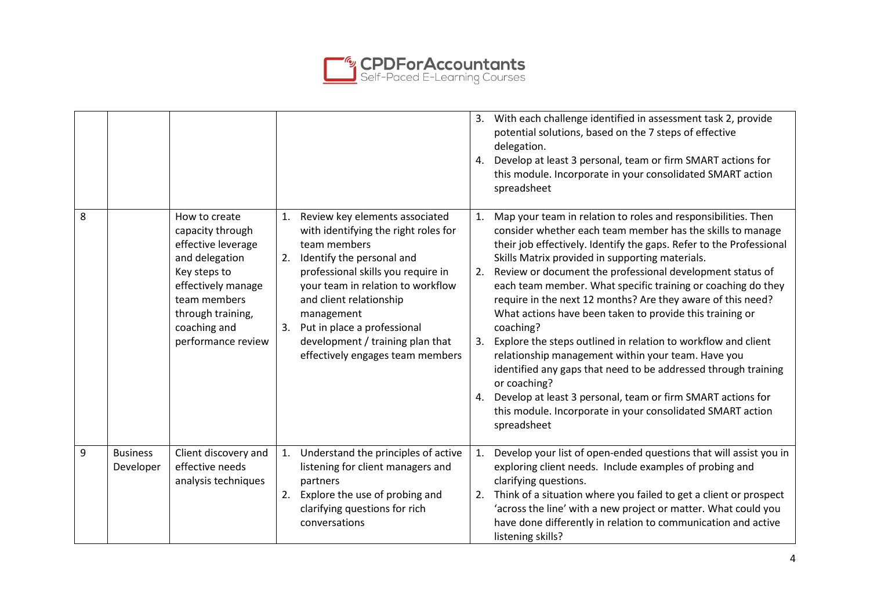

|   |                              |                                                                                                                                                                                            |                                                                                                                                                                                                                                                                                                                                                            | With each challenge identified in assessment task 2, provide<br>3.<br>potential solutions, based on the 7 steps of effective<br>delegation.<br>Develop at least 3 personal, team or firm SMART actions for<br>4.<br>this module. Incorporate in your consolidated SMART action<br>spreadsheet                                                                                                                                                                                                                                                                                                                                                                                                                                                                                                                                                                                                           |
|---|------------------------------|--------------------------------------------------------------------------------------------------------------------------------------------------------------------------------------------|------------------------------------------------------------------------------------------------------------------------------------------------------------------------------------------------------------------------------------------------------------------------------------------------------------------------------------------------------------|---------------------------------------------------------------------------------------------------------------------------------------------------------------------------------------------------------------------------------------------------------------------------------------------------------------------------------------------------------------------------------------------------------------------------------------------------------------------------------------------------------------------------------------------------------------------------------------------------------------------------------------------------------------------------------------------------------------------------------------------------------------------------------------------------------------------------------------------------------------------------------------------------------|
| 8 |                              | How to create<br>capacity through<br>effective leverage<br>and delegation<br>Key steps to<br>effectively manage<br>team members<br>through training,<br>coaching and<br>performance review | 1. Review key elements associated<br>with identifying the right roles for<br>team members<br>Identify the personal and<br>2.<br>professional skills you require in<br>your team in relation to workflow<br>and client relationship<br>management<br>3. Put in place a professional<br>development / training plan that<br>effectively engages team members | Map your team in relation to roles and responsibilities. Then<br>1.<br>consider whether each team member has the skills to manage<br>their job effectively. Identify the gaps. Refer to the Professional<br>Skills Matrix provided in supporting materials.<br>Review or document the professional development status of<br>2.<br>each team member. What specific training or coaching do they<br>require in the next 12 months? Are they aware of this need?<br>What actions have been taken to provide this training or<br>coaching?<br>Explore the steps outlined in relation to workflow and client<br>3.<br>relationship management within your team. Have you<br>identified any gaps that need to be addressed through training<br>or coaching?<br>Develop at least 3 personal, team or firm SMART actions for<br>4.<br>this module. Incorporate in your consolidated SMART action<br>spreadsheet |
| 9 | <b>Business</b><br>Developer | Client discovery and<br>effective needs<br>analysis techniques                                                                                                                             | Understand the principles of active<br>1.<br>listening for client managers and<br>partners<br>Explore the use of probing and<br>2.<br>clarifying questions for rich<br>conversations                                                                                                                                                                       | Develop your list of open-ended questions that will assist you in<br>1.<br>exploring client needs. Include examples of probing and<br>clarifying questions.<br>Think of a situation where you failed to get a client or prospect<br>2.<br>'across the line' with a new project or matter. What could you<br>have done differently in relation to communication and active<br>listening skills?                                                                                                                                                                                                                                                                                                                                                                                                                                                                                                          |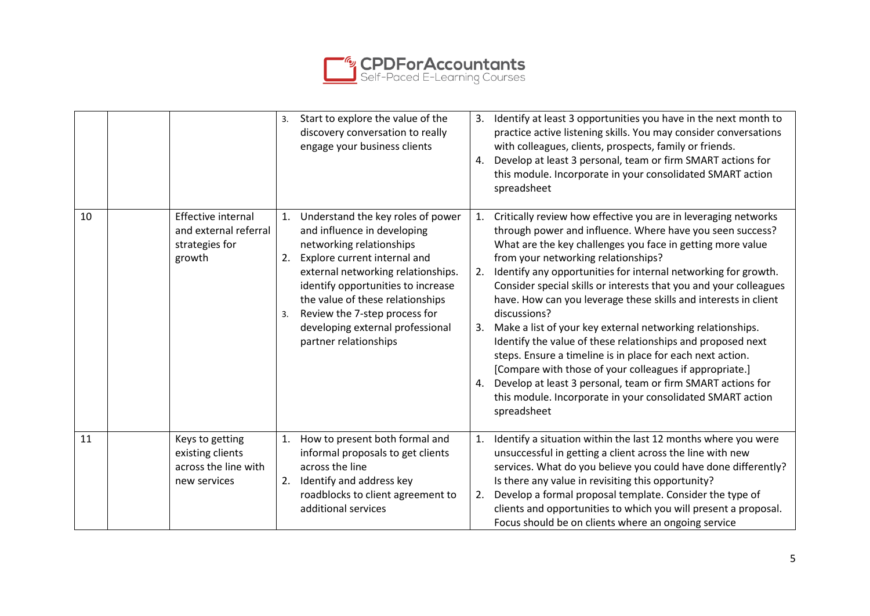

|    |                                                                                | Start to explore the value of the<br>3.<br>discovery conversation to really<br>engage your business clients                                                                                                                                                                                                                                                  | Identify at least 3 opportunities you have in the next month to<br>3.<br>practice active listening skills. You may consider conversations<br>with colleagues, clients, prospects, family or friends.<br>Develop at least 3 personal, team or firm SMART actions for<br>4.<br>this module. Incorporate in your consolidated SMART action<br>spreadsheet                                                                                                                                                                                                                                                                                                                                                                                                                                                                                                                               |
|----|--------------------------------------------------------------------------------|--------------------------------------------------------------------------------------------------------------------------------------------------------------------------------------------------------------------------------------------------------------------------------------------------------------------------------------------------------------|--------------------------------------------------------------------------------------------------------------------------------------------------------------------------------------------------------------------------------------------------------------------------------------------------------------------------------------------------------------------------------------------------------------------------------------------------------------------------------------------------------------------------------------------------------------------------------------------------------------------------------------------------------------------------------------------------------------------------------------------------------------------------------------------------------------------------------------------------------------------------------------|
| 10 | <b>Effective internal</b><br>and external referral<br>strategies for<br>growth | Understand the key roles of power<br>1.<br>and influence in developing<br>networking relationships<br>Explore current internal and<br>2.<br>external networking relationships.<br>identify opportunities to increase<br>the value of these relationships<br>Review the 7-step process for<br>3.<br>developing external professional<br>partner relationships | Critically review how effective you are in leveraging networks<br>1.<br>through power and influence. Where have you seen success?<br>What are the key challenges you face in getting more value<br>from your networking relationships?<br>Identify any opportunities for internal networking for growth.<br>2.<br>Consider special skills or interests that you and your colleagues<br>have. How can you leverage these skills and interests in client<br>discussions?<br>Make a list of your key external networking relationships.<br>3.<br>Identify the value of these relationships and proposed next<br>steps. Ensure a timeline is in place for each next action.<br>[Compare with those of your colleagues if appropriate.]<br>Develop at least 3 personal, team or firm SMART actions for<br>4.<br>this module. Incorporate in your consolidated SMART action<br>spreadsheet |
| 11 | Keys to getting<br>existing clients<br>across the line with<br>new services    | How to present both formal and<br>1.<br>informal proposals to get clients<br>across the line<br>Identify and address key<br>2.<br>roadblocks to client agreement to<br>additional services                                                                                                                                                                   | Identify a situation within the last 12 months where you were<br>1.<br>unsuccessful in getting a client across the line with new<br>services. What do you believe you could have done differently?<br>Is there any value in revisiting this opportunity?<br>Develop a formal proposal template. Consider the type of<br>2.<br>clients and opportunities to which you will present a proposal.<br>Focus should be on clients where an ongoing service                                                                                                                                                                                                                                                                                                                                                                                                                                 |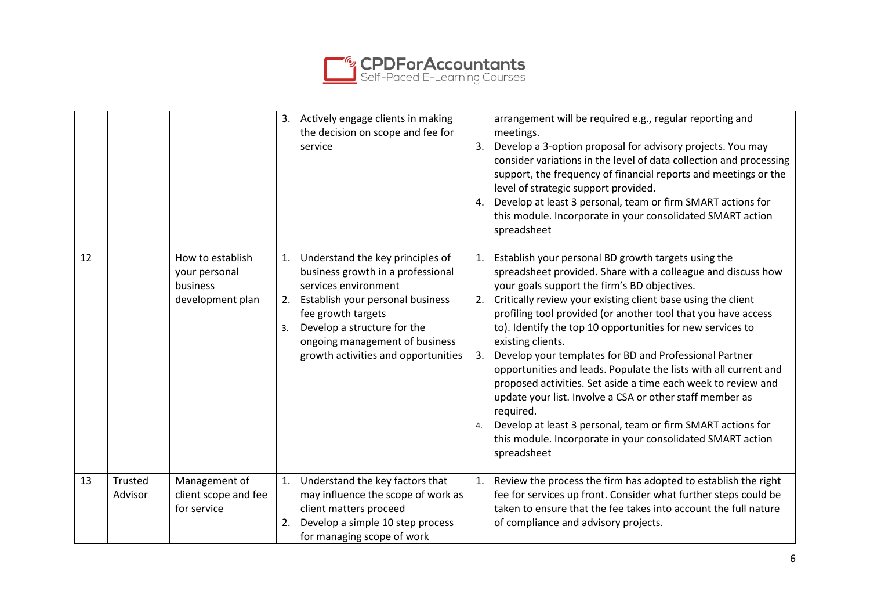

|    |                    |                                                                   | 3. Actively engage clients in making<br>the decision on scope and fee for<br>service                                                                                                                                                                                           | arrangement will be required e.g., regular reporting and<br>meetings.<br>Develop a 3-option proposal for advisory projects. You may<br>3.<br>consider variations in the level of data collection and processing<br>support, the frequency of financial reports and meetings or the<br>level of strategic support provided.<br>Develop at least 3 personal, team or firm SMART actions for<br>4.<br>this module. Incorporate in your consolidated SMART action<br>spreadsheet                                                                                                                                                                                                                                                                                                                                                        |
|----|--------------------|-------------------------------------------------------------------|--------------------------------------------------------------------------------------------------------------------------------------------------------------------------------------------------------------------------------------------------------------------------------|-------------------------------------------------------------------------------------------------------------------------------------------------------------------------------------------------------------------------------------------------------------------------------------------------------------------------------------------------------------------------------------------------------------------------------------------------------------------------------------------------------------------------------------------------------------------------------------------------------------------------------------------------------------------------------------------------------------------------------------------------------------------------------------------------------------------------------------|
| 12 |                    | How to establish<br>your personal<br>business<br>development plan | 1. Understand the key principles of<br>business growth in a professional<br>services environment<br>Establish your personal business<br>2.<br>fee growth targets<br>Develop a structure for the<br>3.<br>ongoing management of business<br>growth activities and opportunities | Establish your personal BD growth targets using the<br>1.<br>spreadsheet provided. Share with a colleague and discuss how<br>your goals support the firm's BD objectives.<br>Critically review your existing client base using the client<br>2.<br>profiling tool provided (or another tool that you have access<br>to). Identify the top 10 opportunities for new services to<br>existing clients.<br>Develop your templates for BD and Professional Partner<br>3.<br>opportunities and leads. Populate the lists with all current and<br>proposed activities. Set aside a time each week to review and<br>update your list. Involve a CSA or other staff member as<br>required.<br>Develop at least 3 personal, team or firm SMART actions for<br>4.<br>this module. Incorporate in your consolidated SMART action<br>spreadsheet |
| 13 | Trusted<br>Advisor | Management of<br>client scope and fee<br>for service              | Understand the key factors that<br>1.<br>may influence the scope of work as<br>client matters proceed<br>Develop a simple 10 step process<br>2.<br>for managing scope of work                                                                                                  | Review the process the firm has adopted to establish the right<br>1.<br>fee for services up front. Consider what further steps could be<br>taken to ensure that the fee takes into account the full nature<br>of compliance and advisory projects.                                                                                                                                                                                                                                                                                                                                                                                                                                                                                                                                                                                  |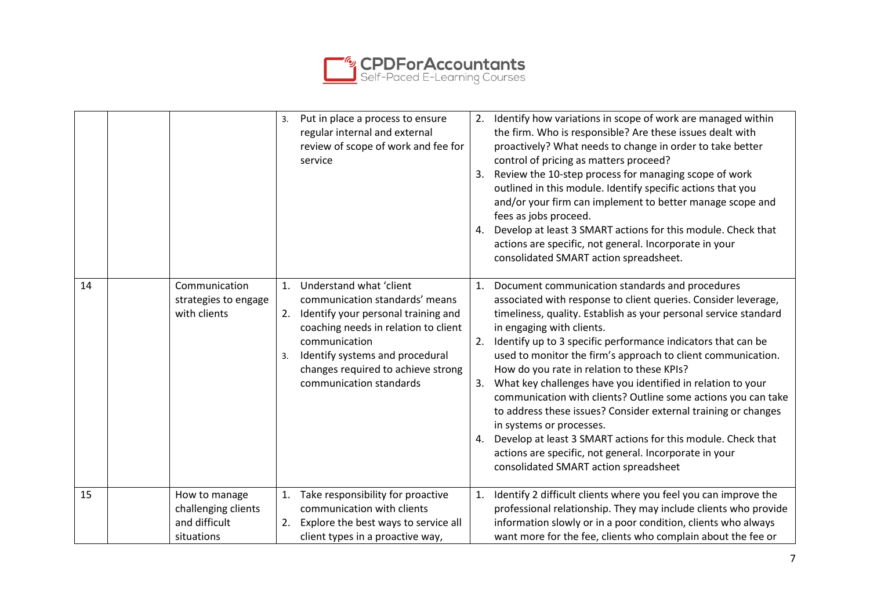

|    |                                                                     | Put in place a process to ensure<br>3.<br>regular internal and external<br>review of scope of work and fee for<br>service                                                                                                                                                       | Identify how variations in scope of work are managed within<br>2.<br>the firm. Who is responsible? Are these issues dealt with<br>proactively? What needs to change in order to take better<br>control of pricing as matters proceed?<br>Review the 10-step process for managing scope of work<br>3.<br>outlined in this module. Identify specific actions that you<br>and/or your firm can implement to better manage scope and<br>fees as jobs proceed.<br>Develop at least 3 SMART actions for this module. Check that<br>4.<br>actions are specific, not general. Incorporate in your<br>consolidated SMART action spreadsheet.                                                                                                                                                                                       |
|----|---------------------------------------------------------------------|---------------------------------------------------------------------------------------------------------------------------------------------------------------------------------------------------------------------------------------------------------------------------------|---------------------------------------------------------------------------------------------------------------------------------------------------------------------------------------------------------------------------------------------------------------------------------------------------------------------------------------------------------------------------------------------------------------------------------------------------------------------------------------------------------------------------------------------------------------------------------------------------------------------------------------------------------------------------------------------------------------------------------------------------------------------------------------------------------------------------|
| 14 | Communication<br>strategies to engage<br>with clients               | Understand what 'client<br>1.<br>communication standards' means<br>Identify your personal training and<br>2.<br>coaching needs in relation to client<br>communication<br>Identify systems and procedural<br>3.<br>changes required to achieve strong<br>communication standards | Document communication standards and procedures<br>1.<br>associated with response to client queries. Consider leverage,<br>timeliness, quality. Establish as your personal service standard<br>in engaging with clients.<br>Identify up to 3 specific performance indicators that can be<br>2.<br>used to monitor the firm's approach to client communication.<br>How do you rate in relation to these KPIs?<br>What key challenges have you identified in relation to your<br>3.<br>communication with clients? Outline some actions you can take<br>to address these issues? Consider external training or changes<br>in systems or processes.<br>Develop at least 3 SMART actions for this module. Check that<br>4.<br>actions are specific, not general. Incorporate in your<br>consolidated SMART action spreadsheet |
| 15 | How to manage<br>challenging clients<br>and difficult<br>situations | Take responsibility for proactive<br>1.<br>communication with clients<br>Explore the best ways to service all<br>2.<br>client types in a proactive way,                                                                                                                         | Identify 2 difficult clients where you feel you can improve the<br>1.<br>professional relationship. They may include clients who provide<br>information slowly or in a poor condition, clients who always<br>want more for the fee, clients who complain about the fee or                                                                                                                                                                                                                                                                                                                                                                                                                                                                                                                                                 |